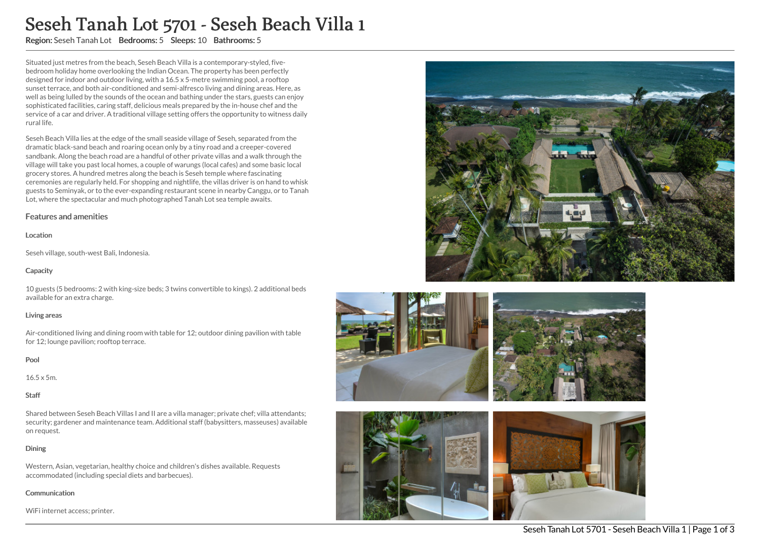# Seseh Tanah Lot 5701 - Seseh Beach Villa 1

Region: Seseh Tanah Lot Bedrooms: 5 Sleeps: 10 Bathrooms: 5

Situated just metres from the beach, Seseh Beach Villa is a contemporary-styled, fivebedroom holiday home overlooking the Indian Ocean. The property has been perfectly designed for indoor and outdoor living, with a 16.5 x 5-metre swimming pool, a rooftop sunset terrace, and both air-conditioned and semi-alfresco living and dining areas. Here, as well as being lulled by the sounds of the ocean and bathing under the stars, guests can enjoy sophisticated facilities, caring staff, delicious meals prepared by the in-house chef and the service of a car and driver. A traditional village setting offers the opportunity to witness daily rural life.

Seseh Beach Villa lies at the edge of the small seaside village of Seseh, separated from the dramatic black-sand beach and roaring ocean only by a tiny road and a creeper-covered sandbank. Along the beach road are a handful of other private villas and a walk through the village will take you past local homes, a couple of warungs (local cafes) and some basic local grocery stores. A hundred metres along the beach is Seseh temple where fascinating ceremonies are regularly held. For shopping and nightlife, the villas driver is on hand to whisk guests to Seminyak, or to the ever-expanding restaurant scene in nearby Canggu, or to Tanah Lot, where the spectacular and much photographed Tanah Lot sea temple awaits.

## Features and amenities

#### Location

Seseh village, south-west Bali, Indonesia.

## **Capacity**

10 guests (5 bedrooms: 2 with king-size beds; 3 twins convertible to kings). 2 additional beds available for an extra charge.

#### Living areas

Air-conditioned living and dining room with table for 12; outdoor dining pavilion with table for 12; lounge pavilion; rooftop terrace.

## Pool

16.5 x 5m.

#### Staff

Shared between Seseh Beach Villas I and II are a villa manager; private chef; villa attendants; security; gardener and maintenance team. Additional staff (babysitters, masseuses) available on request.

## Dining

Western, Asian, vegetarian, healthy choice and children's dishes available. Requests accommodated (including special diets and barbecues).

#### **Communication**

WiFi internet access; printer.







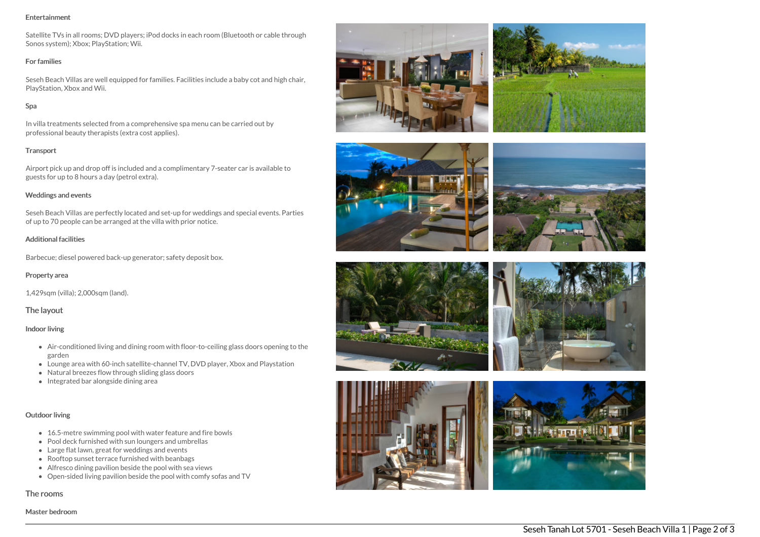#### Entertainment

Satellite TVs in all rooms; DVD players; iPod docks in each room (Bluetooth or cable through Sonos system); Xbox; PlayStation; Wii.

#### For families

Seseh Beach Villas are well equipped for families. Facilities include a baby cot and high chair, PlayStation, Xbox and Wii.

## Spa

In villa treatments selected from a comprehensive spa menu can be carried out by professional beauty therapists (extra cost applies).

#### **Transport**

Airport pick up and drop off is included and a complimentary 7-seater car is available to guests for up to 8 hours a day (petrol extra).

### Weddings and events

Seseh Beach Villas are perfectly located and set-up for weddings and special events. Parties of up to 70 people can be arranged at the villa with prior notice.

## Additional facilities

Barbecue; diesel powered back-up generator; safety deposit box.

#### Property area

1,429sqm (villa); 2,000sqm (land).

## The layout

#### Indoor living

- Air-conditioned living and dining room with floor-to-ceiling glass doors opening to the garden
- Lounge area with 60-inch satellite-channel TV, DVD player, Xbox and Playstation
- Natural breezes flow through sliding glass doors
- Integrated bar alongside dining area

## Outdoor living

- 16.5-metre swimming pool with water feature and fire bowls
- Pool deck furnished with sun loungers and umbrellas
- Large flat lawn, great for weddings and events
- Rooftop sunset terrace furnished with beanbags
- Alfresco dining pavilion beside the pool with sea views
- Open-sided living pavilion beside the pool with comfy sofas and TV

#### The rooms

Master bedroom